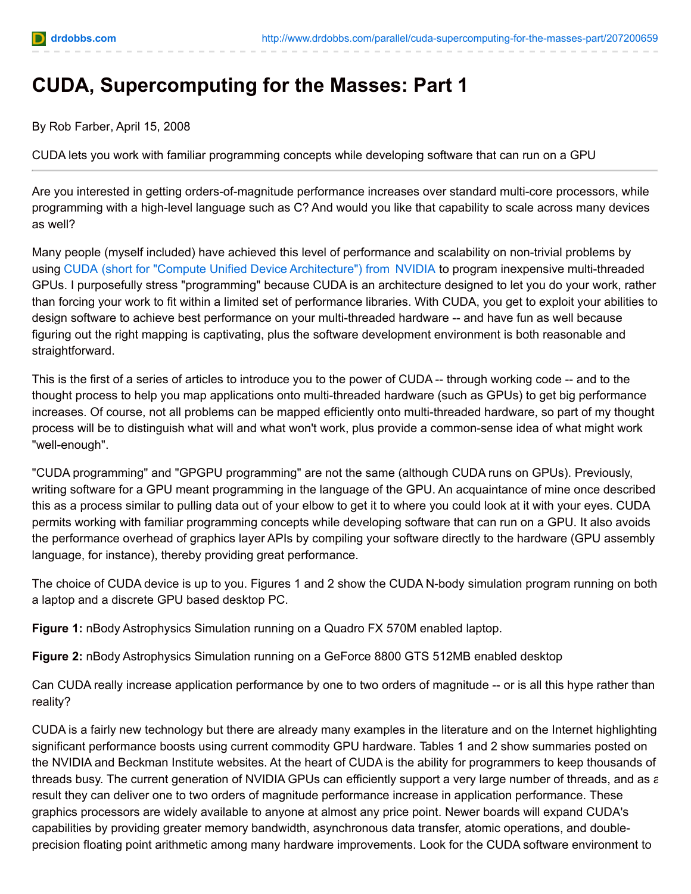

## **CUDA, Supercomputing for the Masses: Part 1**

By Rob Farber, April 15, 2008

CUDA lets you work with familiar programming concepts while developing software that can run on a GPU

Are you interested in getting orders-of-magnitude performance increases over standard multi-core processors, while programming with a high-level language such as C? And would you like that capability to scale across many devices as well?

Many people (myself included) have achieved this level of performance and scalability on non-trivial problems by using [CUDA](http://www.nvidia.com/object/cuda_home.html) (short for "Compute Unified Device Architecture") from [NVIDIA](http://www.nvidia.com/) to program inexpensive multi-threaded GPUs. I purposefully stress "programming" because CUDA is an architecture designed to let you do your work, rather than forcing your work to fit within a limited set of performance libraries. With CUDA, you get to exploit your abilities to design software to achieve best performance on your multi-threaded hardware -- and have fun as well because figuring out the right mapping is captivating, plus the software development environment is both reasonable and straightforward.

This is the first of a series of articles to introduce you to the power of CUDA -- through working code -- and to the thought process to help you map applications onto multi-threaded hardware (such as GPUs) to get big performance increases. Of course, not all problems can be mapped efficiently onto multi-threaded hardware, so part of my thought process will be to distinguish what will and what won't work, plus provide a common-sense idea of what might work "well-enough".

"CUDA programming" and "GPGPU programming" are not the same (although CUDA runs on GPUs). Previously, writing software for a GPU meant programming in the language of the GPU. An acquaintance of mine once described this as a process similar to pulling data out of your elbow to get it to where you could look at it with your eyes. CUDA permits working with familiar programming concepts while developing software that can run on a GPU. It also avoids the performance overhead of graphics layer APIs by compiling your software directly to the hardware (GPU assembly language, for instance), thereby providing great performance.

The choice of CUDA device is up to you. Figures 1 and 2 show the CUDA N-body simulation program running on both a laptop and a discrete GPU based desktop PC.

**Figure 1:** nBody Astrophysics Simulation running on a Quadro FX 570M enabled laptop.

**Figure 2:** nBody Astrophysics Simulation running on a GeForce 8800 GTS 512MB enabled desktop

Can CUDA really increase application performance by one to two orders of magnitude -- or is all this hype rather than reality?

CUDA is a fairly new technology but there are already many examples in the literature and on the Internet highlighting significant performance boosts using current commodity GPU hardware. Tables 1 and 2 show summaries posted on the NVIDIA and Beckman Institute websites. At the heart of CUDA is the ability for programmers to keep thousands of threads busy. The current generation of NVIDIA GPUs can efficiently support a very large number of threads, and as a result they can deliver one to two orders of magnitude performance increase in application performance. These graphics processors are widely available to anyone at almost any price point. Newer boards will expand CUDA's capabilities by providing greater memory bandwidth, asynchronous data transfer, atomic operations, and doubleprecision floating point arithmetic among many hardware improvements. Look for the CUDA software environment to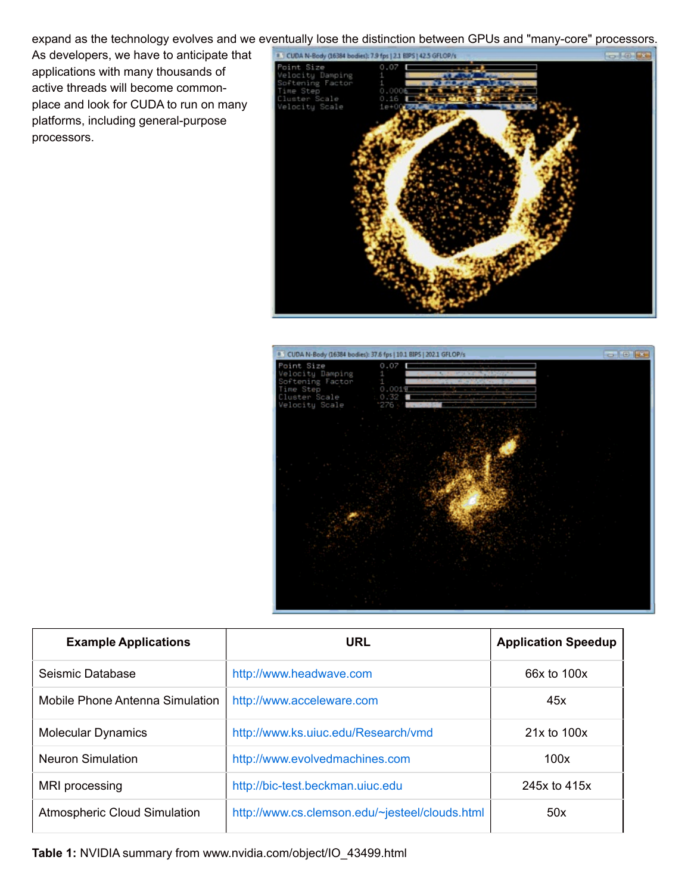expand as the technology evolves and we eventually lose the distinction between GPUs and "many-core" processors.

As developers, we have to anticipate that applications with many thousands of active threads will become commonplace and look for CUDA to run on many platforms, including general-purpose processors.





| <b>Example Applications</b>         | <b>URL</b>                                     | <b>Application Speedup</b> |
|-------------------------------------|------------------------------------------------|----------------------------|
| Seismic Database                    | http://www.headwave.com                        | 66x to 100x                |
| Mobile Phone Antenna Simulation     | http://www.acceleware.com                      | 45x                        |
| <b>Molecular Dynamics</b>           | http://www.ks.uiuc.edu/Research/vmd            | $21x$ to $100x$            |
| <b>Neuron Simulation</b>            | http://www.evolvedmachines.com                 | 100x                       |
| MRI processing                      | http://bic-test.beckman.uiuc.edu               | 245x to 415x               |
| <b>Atmospheric Cloud Simulation</b> | http://www.cs.clemson.edu/~jesteel/clouds.html | 50x                        |

**Table 1:** NVIDIA summary from www.nvidia.com/object/IO\_43499.html